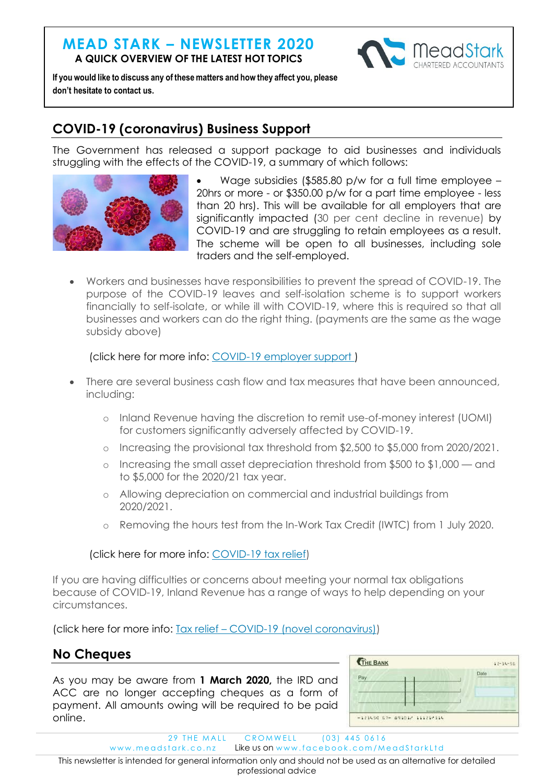## **MEAD STARK – NEWSLETTER 2020 A QUICK OVERVIEW OF THE LATEST HOT TOPICS**



**If you would like to discuss any of these matters and how they affect you, please don't hesitate to contact us.**

### **COVID-19 (coronavirus) Business Support**

The Government has released a support package to aid businesses and individuals struggling with the effects of the COVID-19, a summary of which follows:



- Wage subsidies (\$585.80 p/w for a full time employee 20hrs or more - or \$350.00 p/w for a part time employee - less than 20 hrs). This will be available for all employers that are significantly impacted (30 per cent decline in revenue) by COVID-19 and are struggling to retain employees as a result. The scheme will be open to all businesses, including sole traders and the self-employed.
- Workers and businesses have responsibilities to prevent the spread of COVID-19. The purpose of the COVID-19 leaves and self-isolation scheme is to support workers financially to self-isolate, or while ill with COVID-19, where this is required so that all businesses and workers can do the right thing. (payments are the same as the wage subsidy above)

(click here for more info: [COVID-19 employer support](https://workandincome.govt.nz/products/a-z-benefits/covid-19-support.html?utm_source=business.govt.nz&utm_medium=newsletter&utm_campaign=special_cv_edition#null) )

- There are several business cash flow and tax measures that have been announced, including:
	- o Inland Revenue having the discretion to remit use-of-money interest (UOMI) for customers significantly adversely affected by COVID-19.
	- o Increasing the provisional tax threshold from \$2,500 to \$5,000 from 2020/2021.
	- o Increasing the small asset depreciation threshold from \$500 to \$1,000 and to \$5,000 for the 2020/21 tax year.
	- o Allowing depreciation on commercial and industrial buildings from 2020/2021.
	- o Removing the hours test from the In-Work Tax Credit (IWTC) from 1 July 2020.

#### (click here for more info: [COVID-19 tax relief\)](https://www.ird.govt.nz/covid19?utm_source=business.govt.nz&utm_medium=newsletter&utm_campaign=special_cv_edition)

If you are having difficulties or concerns about meeting your normal tax obligations because of COVID-19, Inland Revenue has a range of ways to help depending on your circumstances.

(click here for more info: Tax relief – [COVID-19 \(novel coronavirus\)\)](https://www.ird.govt.nz/Updates/News-Folder/tax-relief-coronavirus?utm_source=business.govt.nz&utm_medium=newsletter&utm_campaign=special_cv_edition)

#### **No Cheques**

As you may be aware from **1 March 2020,** the IRD and ACC are no longer accepting cheques as a form of payment. All amounts owing will be required to be paid online.

| Pay | Date |
|-----|------|
|     |      |
|     |      |
|     |      |
|     |      |

29 THE MALL CROMWELL (03) 445 0616

www.meadstark.co.nz Like us on www.facebook.com/MeadStarkLtd

This newsletter is intended for general information only and should not be used as an alternative for detailed professional advice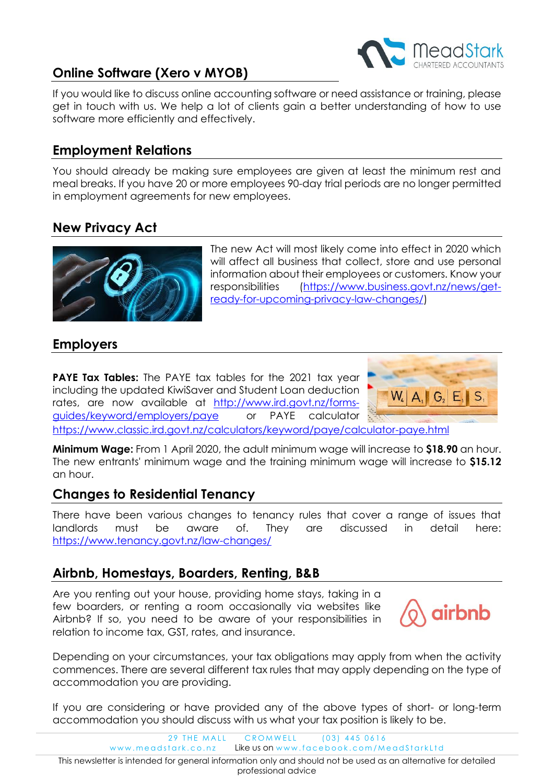

# **Online Software (Xero v MYOB)**

If you would like to discuss online accounting software or need assistance or training, please get in touch with us. We help a lot of clients gain a better understanding of how to use software more efficiently and effectively.

#### **Employment Relations**

You should already be making sure employees are given at least the minimum rest and meal breaks. If you have 20 or more employees 90-day trial periods are no longer permitted in employment agreements for new employees.

## **New Privacy Act**



The new Act will most likely come into effect in 2020 which will affect all business that collect, store and use personal information about their employees or customers. Know your responsibilities [\(https://www.business.govt.nz/news/get](https://www.business.govt.nz/news/get-ready-for-upcoming-privacy-law-changes/)[ready-for-upcoming-privacy-law-changes/\)](https://www.business.govt.nz/news/get-ready-for-upcoming-privacy-law-changes/)

### **Employers**

**PAYE Tax Tables:** The PAYE tax tables for the 2021 tax year including the updated KiwiSaver and Student Loan deduction rates, are now available at [http://www.ird.govt.nz/forms](http://www.ird.govt.nz/forms-guides/keyword/employers/paye)[guides/keyword/employers/paye](http://www.ird.govt.nz/forms-guides/keyword/employers/paye) or PAYE calculator <https://www.classic.ird.govt.nz/calculators/keyword/paye/calculator-paye.html>



**Minimum Wage:** From 1 April 2020, the adult minimum wage will increase to **\$18.90** an hour. The new entrants' minimum wage and the training minimum wage will increase to **\$15.12** an hour.

#### **Changes to Residential Tenancy**

There have been various changes to tenancy rules that cover a range of issues that landlords must be aware of. They are discussed in detail here: <https://www.tenancy.govt.nz/law-changes/>

#### **Airbnb, Homestays, Boarders, Renting, B&B**

Are you renting out your house, providing home stays, taking in a few boarders, or renting a room occasionally via websites like Airbnb? If so, you need to be aware of your responsibilities in relation to income tax, GST, rates, and insurance.



Depending on your circumstances, your tax obligations may apply from when the activity commences. There are several different tax rules that may apply depending on the type of accommodation you are providing.

If you are considering or have provided any of the above types of short- or long-term accommodation you should discuss with us what your tax position is likely to be.

> 29 THE MALL CROMWELL (03) 445 0616 www.meadstark.co.nz Like us on www.facebook.com/MeadStarkLtd

This newsletter is intended for general information only and should not be used as an alternative for detailed professional advice